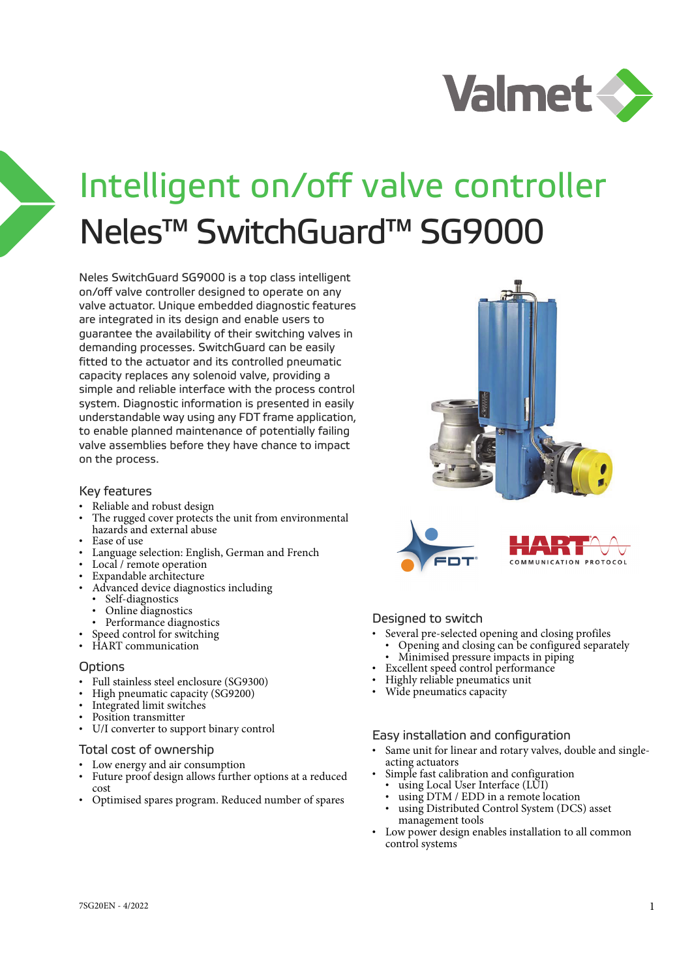

# Intelligent on/off valve controller Neles™ SwitchGuard™ SG9000

Neles SwitchGuard SG9000 is a top class intelligent on/off valve controller designed to operate on any valve actuator. Unique embedded diagnostic features are integrated in its design and enable users to guarantee the availability of their switching valves in demanding processes. SwitchGuard can be easily fitted to the actuator and its controlled pneumatic capacity replaces any solenoid valve, providing a simple and reliable interface with the process control system. Diagnostic information is presented in easily understandable way using any FDT frame application, to enable planned maintenance of potentially failing valve assemblies before they have chance to impact on the process.

#### Key features

- Reliable and robust design
- The rugged cover protects the unit from environmental hazards and external abuse
- Ease of use
- Language selection: English, German and French
- Local / remote operation
- Expandable architecture
- Advanced device diagnostics including
	- Self-diagnostics
	- Online diagnostics
- Performance diagnostics
- Speed control for switching
- HART communication

#### **Options**

- Full stainless steel enclosure (SG9300)
- High pneumatic capacity (SG9200)
- Integrated limit switches
- Position transmitter
- U/I converter to support binary control

#### Total cost of ownership

- Low energy and air consumption
- Future proof design allows further options at a reduced cost
- Optimised spares program. Reduced number of spares





#### Designed to switch

- Several pre-selected opening and closing profiles
	- Opening and closing can be configured separately
- Minimised pressure impacts in piping
- Excellent speed control performance
- Highly reliable pneumatics unit
- Wide pneumatics capacity

#### Easy installation and configuration

- Same unit for linear and rotary valves, double and singleacting actuators
- Simple fast calibration and configuration • using Local User Interface (LUI)
- using DTM / EDD in a remote location
- using Distributed Control System (DCS) asset management tools
- Low power design enables installation to all common control systems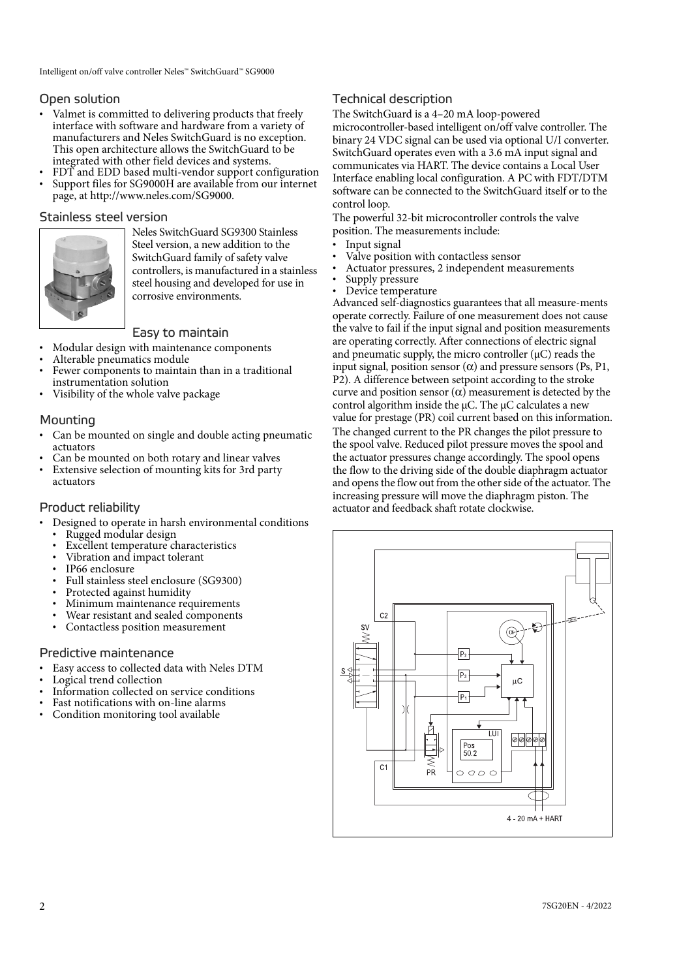## Open solution

- Valmet is committed to delivering products that freely interface with software and hardware from a variety of manufacturers and Neles SwitchGuard is no exception. This open architecture allows the SwitchGuard to be integrated with other field devices and systems.
- FDT and EDD based multi-vendor support configuration
- Support files for SG9000H are available from our internet page, at http://www.neles.com/SG9000.

## Stainless steel version



Neles SwitchGuard SG9300 Stainless Steel version, a new addition to the SwitchGuard family of safety valve controllers, is manufactured in a stainless steel housing and developed for use in corrosive environments.

## Easy to maintain

- Modular design with maintenance components
- Alterable pneumatics module
- Fewer components to maintain than in a traditional instrumentation solution
- Visibility of the whole valve package

#### Mounting

- Can be mounted on single and double acting pneumatic actuators
- Can be mounted on both rotary and linear valves
- Extensive selection of mounting kits for 3rd party actuators

#### Product reliability

- Designed to operate in harsh environmental conditions
- Rugged modular design
- Excellent temperature characteristics
- Vibration and impact tolerant
- IP66 enclosure
- Full stainless steel enclosure (SG9300)
- Protected against humidity
- Minimum maintenance requirements
- Wear resistant and sealed components
- Contactless position measurement

#### Predictive maintenance

- Easy access to collected data with Neles DTM
- Logical trend collection
- Information collected on service conditions
- Fast notifications with on-line alarms
- Condition monitoring tool available

# Technical description

The SwitchGuard is a 4–20 mA loop-powered

microcontroller-based intelligent on/off valve controller. The binary 24 VDC signal can be used via optional U/I converter. SwitchGuard operates even with a 3.6 mA input signal and communicates via HART. The device contains a Local User Interface enabling local configuration. A PC with FDT/DTM software can be connected to the SwitchGuard itself or to the control loop.

The powerful 32-bit microcontroller controls the valve position. The measurements include:

- Input signal
- Valve position with contactless sensor
- Actuator pressures, 2 independent measurements
- Supply pressure
- Device temperature

Advanced self-diagnostics guarantees that all measure-ments operate correctly. Failure of one measurement does not cause the valve to fail if the input signal and position measurements are operating correctly. After connections of electric signal and pneumatic supply, the micro controller  $(\mu C)$  reads the input signal, position sensor  $(\alpha)$  and pressure sensors (Ps, P1, P2). A difference between setpoint according to the stroke curve and position sensor  $(\alpha)$  measurement is detected by the control algorithm inside the  $\mu$ C. The  $\mu$ C calculates a new value for prestage (PR) coil current based on this information. The changed current to the PR changes the pilot pressure to the spool valve. Reduced pilot pressure moves the spool and the actuator pressures change accordingly. The spool opens the flow to the driving side of the double diaphragm actuator and opens the flow out from the other side of the actuator. The increasing pressure will move the diaphragm piston. The actuator and feedback shaft rotate clockwise.

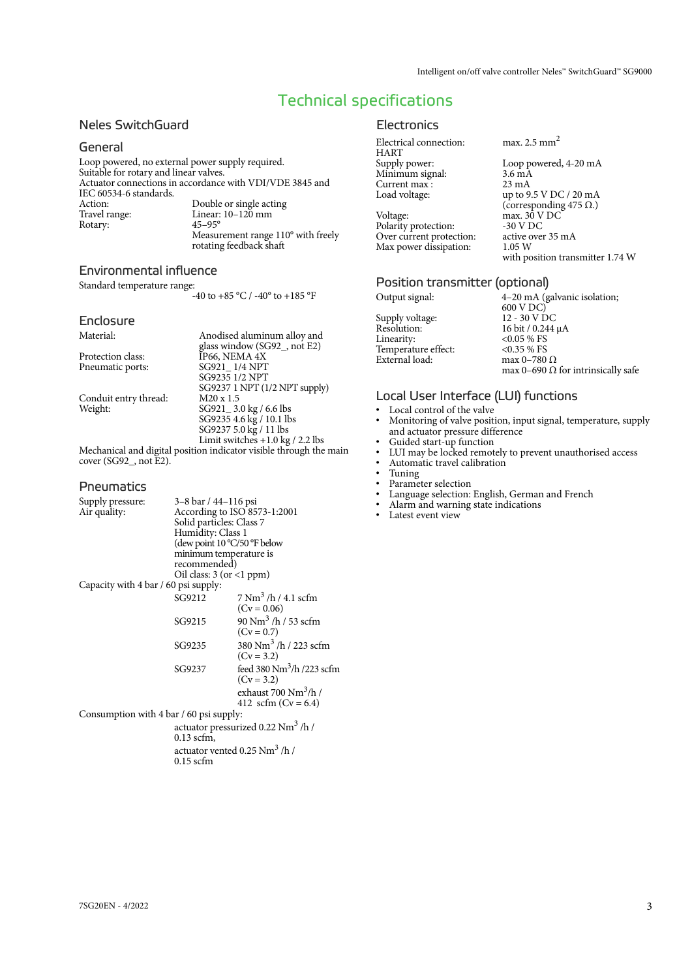with position transmitter 1.74 W

# Technical specifications

#### Neles SwitchGuard

#### General

Loop powered, no external power supply required. Suitable for rotary and linear valves. Actuator connections in accordance with VDI/VDE 3845 and IEC 60534-6 standards. Action: Double or single acting<br>Travel range: Linear: 10–120 mm Linear:  $10-120$  mm<br> $45-95^{\circ}$ Rotary: Measurement range 110° with freely rotating feedback shaft

#### Environmental influence

Standard temperature range: -40 to +85 °C / -40° to +185 °F

#### Enclosure

| Material:             | Anodised aluminum alloy and        |
|-----------------------|------------------------------------|
|                       | glass window (SG92, not E2)        |
| Protection class:     | IP66, NEMA 4X                      |
| Pneumatic ports:      | SG921 1/4 NPT                      |
|                       | SG9235 1/2 NPT                     |
|                       | SG9237 1 NPT (1/2 NPT supply)      |
| Conduit entry thread: | $M20 \times 1.5$                   |
| Weight:               | SG921 _ 3.0 kg / 6.6 lbs           |
|                       | SG9235 4.6 kg / 10.1 lbs           |
|                       | SG9237 5.0 kg / 11 lbs             |
|                       | Limit switches $+1.0$ kg / 2.2 lbs |
|                       |                                    |

Mechanical and digital position indicator visible through the main cover (SG92\_, not E2).

#### **Pneumatics**

| Supply pressure:                        | 3–8 bar / 44–116 psi                              |                                            |  |  |  |  |
|-----------------------------------------|---------------------------------------------------|--------------------------------------------|--|--|--|--|
| Air quality:                            |                                                   | According to ISO 8573-1:2001               |  |  |  |  |
|                                         | Solid particles: Class 7                          |                                            |  |  |  |  |
|                                         | Humidity: Class 1<br>(dew point 10 °C/50 °F below |                                            |  |  |  |  |
|                                         |                                                   |                                            |  |  |  |  |
|                                         | minimum temperature is                            |                                            |  |  |  |  |
|                                         | recommended)                                      |                                            |  |  |  |  |
|                                         | Oil class: $3 (or < 1 ppm)$                       |                                            |  |  |  |  |
| Capacity with 4 bar / 60 psi supply:    |                                                   |                                            |  |  |  |  |
|                                         | SG9212                                            | 7 Nm <sup>3</sup> /h / 4.1 scfm            |  |  |  |  |
|                                         |                                                   | $(Cv = 0.06)$                              |  |  |  |  |
|                                         | SG9215                                            | 90 Nm <sup>3</sup> /h / 53 scfm            |  |  |  |  |
|                                         |                                                   | $(Cv = 0.7)$                               |  |  |  |  |
|                                         | SG9235                                            | 380 Nm <sup>3</sup> /h/223 scfm            |  |  |  |  |
|                                         |                                                   | $(Cv = 3.2)$                               |  |  |  |  |
|                                         | SG9237                                            | feed 380 $Nm^3/h$ /223 scfm                |  |  |  |  |
|                                         |                                                   | $(Cv = 3.2)$                               |  |  |  |  |
|                                         |                                                   | exhaust $700 \text{ Nm}^3/\text{h}$ /      |  |  |  |  |
|                                         |                                                   | 412 scfm ( $Cv = 6.4$ )                    |  |  |  |  |
| Consumption with 4 bar / 60 psi supply: |                                                   |                                            |  |  |  |  |
|                                         | actuator pressurized 0.22 Nm <sup>3</sup> /h/     |                                            |  |  |  |  |
|                                         | $0.13$ scfm,                                      |                                            |  |  |  |  |
|                                         |                                                   | actuator vented $0.25$ Nm <sup>3</sup> /h/ |  |  |  |  |
|                                         | $0.15$ scfm                                       |                                            |  |  |  |  |

#### **Electronics**

| Electrical connection: | max. $2.5$ mm <sup>2</sup>     |
|------------------------|--------------------------------|
| <b>HART</b>            |                                |
| Supply power:          | Loop powered, 4-20 mA          |
| Minimum signal:        | $3.6 \text{ mA}$               |
| Current max:           | $23 \text{ mA}$                |
| Load voltage:          | up to $9.5$ V DC $/$ 20 mA     |
|                        | (corresponding 475 $\Omega$ .) |
| Voltage:               | max. 30 V DC                   |
| Polarity protection:   | -30 V DC                       |

Polarity protection: Over current protection: active over 35 mA<br>Max power dissipation: 1.05 W Max power dissipation:

#### Position transmitter (optional)

| Output signal:      | 4–20 mA (galvanic isolation;              |
|---------------------|-------------------------------------------|
|                     | 600 V DC)                                 |
| Supply voltage:     | 12 - 30 V DC                              |
| Resolution:         | 16 bit / 0.244 µA                         |
| Linearity:          | $< 0.05 %$ FS                             |
| Temperature effect: | $< 0.35 \%$ FS                            |
| External load:      | max 0-780 $\Omega$                        |
|                     | max 0–690 $\Omega$ for intrinsically safe |

#### Local User Interface (LUI) functions

- Local control of the valve
- Monitoring of valve position, input signal, temperature, supply and actuator pressure difference
- Guided start-up function<br>• IIII may be locked remot
- LUI may be locked remotely to prevent unauthorised access
- Automatic travel calibration
- Tuning<br>• Parame
- Parameter selection<br>• Language selection
- Language selection: English, German and French<br>• Alarm and warning state indications
- Alarm and warning state indications<br>• Latest event view
- Latest event view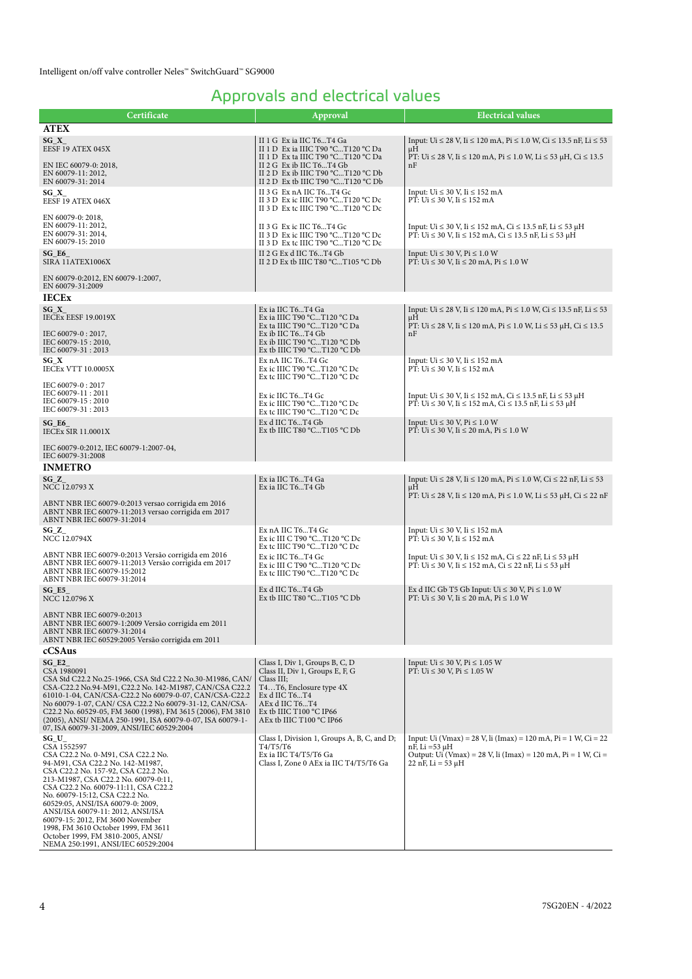# Approvals and electrical values

| Certificate                                                                                                                                                                                                                                                                                                                                                                                                                                                                             | Approval                                                                                                                                                                                                       | <b>Electrical values</b>                                                                                                                                                                  |
|-----------------------------------------------------------------------------------------------------------------------------------------------------------------------------------------------------------------------------------------------------------------------------------------------------------------------------------------------------------------------------------------------------------------------------------------------------------------------------------------|----------------------------------------------------------------------------------------------------------------------------------------------------------------------------------------------------------------|-------------------------------------------------------------------------------------------------------------------------------------------------------------------------------------------|
| <b>ATEX</b>                                                                                                                                                                                                                                                                                                                                                                                                                                                                             |                                                                                                                                                                                                                |                                                                                                                                                                                           |
| $SG_X$<br>EESF 19 ATEX 045X                                                                                                                                                                                                                                                                                                                                                                                                                                                             | II 1 G Ex ia IIC T6T4 Ga<br>II 1 D Ex ia IIIC T90 °CT120 °C Da<br>II 1 D Ex ta IIIC T90 °CT120 °C Da                                                                                                           | Input: Ui $\leq 28$ V, Ii $\leq 120$ mA, Pi $\leq 1.0$ W, Ci $\leq 13.5$ nF, Li $\leq 53$<br>μH<br>PT: Ui $\leq$ 28 V, Ii $\leq$ 120 mA, Pi $\leq$ 1.0 W, Li $\leq$ 53 µH, Ci $\leq$ 13.5 |
| EN IEC 60079-0: 2018,<br>EN 60079-11: 2012,<br>EN 60079-31: 2014                                                                                                                                                                                                                                                                                                                                                                                                                        | II 2 G Ex ib IIC T6T4 Gb<br>II 2 D Ex ib IIIC T90 °CT120 °C Db<br>II 2 D Ex tb IIIC T90 °CT120 °C Db                                                                                                           | nF                                                                                                                                                                                        |
| $SG_X$<br>EESF 19 ATEX 046X                                                                                                                                                                                                                                                                                                                                                                                                                                                             | II 3 G Ex nA IIC T6T4 Gc<br>II 3 D Ex ic IIIC T90 °CT120 °C Dc<br>II 3 D Ex tc IIIC T90 °CT120 °C Dc                                                                                                           | Input: $Ui \leq 30$ V, $I_i \leq 152$ mA<br>PT: $Ui \le 30$ V, $Ii \le 152$ mA                                                                                                            |
| EN 60079-0: 2018,<br>EN 60079-11: 2012,<br>EN 60079-31: 2014,<br>EN 60079-15: 2010                                                                                                                                                                                                                                                                                                                                                                                                      | II 3 G Ex ic IIC T6T4 Gc<br>II 3 D Ex ic IIIC T90 °CT120 °C Dc<br>II 3 D Ex tc IIIC T90 °CT120 °C Dc                                                                                                           | Input: Ui ≤ 30 V, Ii ≤ 152 mA, Ci ≤ 13.5 nF, Li ≤ 53 µH<br>PT: Ui ≤ 30 V, Ii ≤ 152 mA, Ci ≤ 13.5 nF, Li ≤ 53 µH                                                                           |
| SG E6<br>SIRA 11ATEX1006X                                                                                                                                                                                                                                                                                                                                                                                                                                                               | II 2 G Ex d IIC T6T4 Gb<br>II 2 D Ex tb IIIC T80 °CT105 °C Db                                                                                                                                                  | Input: $Ui \leq 30 V$ , $ Pi \leq 1.0 W$<br>PT: Ui ≤ 30 V, Ii ≤ 20 mA, Pi ≤ 1.0 W                                                                                                         |
| EN 60079-0:2012, EN 60079-1:2007,<br>EN 60079-31:2009                                                                                                                                                                                                                                                                                                                                                                                                                                   |                                                                                                                                                                                                                |                                                                                                                                                                                           |
| <b>IECEx</b>                                                                                                                                                                                                                                                                                                                                                                                                                                                                            |                                                                                                                                                                                                                |                                                                                                                                                                                           |
| SG X<br>IECEx EESF 19.0019X<br>IEC 60079-0:2017,                                                                                                                                                                                                                                                                                                                                                                                                                                        | Ex ia IIC T6T4 Ga<br>Ex ia IIIC T90 °CT120 °C Da<br>Ex ta IIIC T90 °CT120 °C Da<br>Ex ib IIC T6T4 Gb                                                                                                           | Input: Ui $\leq$ 28 V, Ii $\leq$ 120 mA, Pi $\leq$ 1.0 W, Ci $\leq$ 13.5 nF, Li $\leq$ 53<br>μH<br>PT: Ui ≤ 28 V, Ii ≤ 120 mA, Pi ≤ 1.0 W, Li ≤ 53 µH, Ci ≤ 13.5<br>nF                    |
| IEC 60079-15: 2010,<br>IEC 60079-31:2013                                                                                                                                                                                                                                                                                                                                                                                                                                                | Ex ib IIIC T90 $°CT120$ $°C$ Db<br>Ex tb IIIC T90 $°CT120$ $°C$ Db                                                                                                                                             |                                                                                                                                                                                           |
| SG_X<br><b>IECEX VTT 10.0005X</b>                                                                                                                                                                                                                                                                                                                                                                                                                                                       | Ex nA IIC T6T4 Gc<br>Ex ic IIIC T90 °CT120 °C Dc<br>Ex tc IIIC T90 °CT120 °C Dc                                                                                                                                | Input: $Ui \leq 30$ V, $I_i \leq 152$ mA<br>$\overline{PT}$ : Ui $\leq 30$ V, Ii $\leq 152$ mA                                                                                            |
| IEC 60079-0: 2017<br>IEC 60079-11:2011<br>IEC 60079-15:2010<br>IEC 60079-31:2013                                                                                                                                                                                                                                                                                                                                                                                                        | Ex ic IIC T6T4 Gc<br>Ex ic IIIC T90 °CT120 °C Dc<br>Ex tc IIIC T90 $°CT120°C$ Dc                                                                                                                               | Input: Ui $\leq 30$ V, Ii $\leq 152$ mA, Ci $\leq 13.5$ nF, Li $\leq 53$ µH<br>PT: Ui ≤ 30 V, Ii ≤ 152 mA, Ci ≤ 13.5 nF, Li ≤ 53 µH                                                       |
| $SG_E6$<br><b>IECEx SIR 11.0001X</b>                                                                                                                                                                                                                                                                                                                                                                                                                                                    | Ex d IIC T6T4 Gb<br>Ex tb IIIC T80 °CT105 °C Db                                                                                                                                                                | Input: $Ui \leq 30 V$ , $ Pi \leq 1.0 W$<br>PT: Ui ≤ 30 V, Ii ≤ 20 mA, Pi ≤ 1.0 W                                                                                                         |
| IEC 60079-0:2012, IEC 60079-1:2007-04,<br>IEC 60079-31:2008                                                                                                                                                                                                                                                                                                                                                                                                                             |                                                                                                                                                                                                                |                                                                                                                                                                                           |
| <b>INMETRO</b>                                                                                                                                                                                                                                                                                                                                                                                                                                                                          |                                                                                                                                                                                                                |                                                                                                                                                                                           |
| $SG_Z$<br>NCC 12.0793 X                                                                                                                                                                                                                                                                                                                                                                                                                                                                 | Ex ia IIC T6T4 Ga<br>Ex ia IIC T6T4 Gb                                                                                                                                                                         | Input: Ui ≤ 28 V, Ii ≤ 120 mA, Pi ≤ 1.0 W, Ci ≤ 22 nF, Li ≤ 53<br>μH<br>PT: Ui ≤ 28 V, Ii ≤ 120 mA, Pi ≤ 1.0 W, Li ≤ 53 µH, Ci ≤ 22 nF                                                    |
| ABNT NBR IEC 60079-0:2013 versao corrigida em 2016<br>ABNT NBR IEC 60079-11:2013 versao corrigida em 2017<br>ABNT NBR IEC 60079-31:2014                                                                                                                                                                                                                                                                                                                                                 |                                                                                                                                                                                                                |                                                                                                                                                                                           |
| $SG_ Z$<br>NCC 12.0794X                                                                                                                                                                                                                                                                                                                                                                                                                                                                 | Ex nA IIC T6T4 Gc<br>Ex ic III C T90 $°CT120$ $°C$ Dc<br>Ex tc IIIC T90 °CT120 °C Dc                                                                                                                           | Input: $Ui \leq 30$ V, $I_i \leq 152$ mA<br>PT: $Ui \le 30$ V, $Ii \le 152$ mA                                                                                                            |
| ABNT NBR IEC 60079-0:2013 Versão corrigida em 2016<br>ABNT NBR IEC 60079-11:2013 Versão corrigida em 2017<br>ABNT NBR IEC 60079-15:2012<br>ABNT NBR IEC 60079-31:2014                                                                                                                                                                                                                                                                                                                   | Ex ic IIC T6T4 Gc<br>Ex ic III C T90 $°CT120$ $°C$ Dc<br>Ex tc IIIC T90 °CT120 °C Dc                                                                                                                           | Input: Ui $\leq 30$ V, Ii $\leq 152$ mA, Ci $\leq 22$ nF, Li $\leq 53$ µH<br>PT: Ui ≤ 30 V, Ii ≤ 152 mA, Ci ≤ 22 nF, Li ≤ 53 µH                                                           |
| $SG_E5$<br>NCC 12.0796 X                                                                                                                                                                                                                                                                                                                                                                                                                                                                | Ex d IIC T6T4 Gb<br>Ex tb IIIC T80 $°CT105$ $°C$ Db                                                                                                                                                            | Ex d IIC Gb T5 Gb Input: Ui $\leq 30$ V, Pi $\leq 1.0$ W<br>PT: Ui ≤ 30 V, Ii ≤ 20 mA, Pi ≤ 1.0 W                                                                                         |
| ABNT NBR IEC 60079-0:2013<br>ABNT NBR IEC 60079-1:2009 Versão corrigida em 2011<br>ABNT NBR IEC 60079-31:2014<br>ABNT NBR IEC 60529:2005 Versão corrigida em 2011                                                                                                                                                                                                                                                                                                                       |                                                                                                                                                                                                                |                                                                                                                                                                                           |
| cCSAus                                                                                                                                                                                                                                                                                                                                                                                                                                                                                  |                                                                                                                                                                                                                |                                                                                                                                                                                           |
| $SG_E2$<br>CSA 1980091<br>CSA Std C22.2 No.25-1966, CSA Std C22.2 No.30-M1986, CAN/<br>CSA-C22.2 No.94-M91, C22.2 No. 142-M1987, CAN/CSA C22.2<br>61010-1-04, CAN/CSA-C22.2 No 60079-0-07, CAN/CSA-C22.2<br>No 60079-1-07, CAN/ CSA C22.2 No 60079-31-12, CAN/CSA-<br>C22.2 No. 60529-05, FM 3600 (1998), FM 3615 (2006), FM 3810<br>(2005), ANSI/ NEMA 250-1991, ISA 60079-0-07, ISA 60079-1-<br>07, ISA 60079-31-2009, ANSI/IEC 60529:2004                                            | Class I, Div 1, Groups B, C, D<br>Class II, Div 1, Groups E, F, G<br>Class III;<br>T4T6, Enclosure type 4X<br>Ex d IIC T6T4<br>AEx d IIC T6T4<br>Ex tb IIIC T100 $^{\circ}$ C IP66<br>AEx tb IIIC T100 °C IP66 | Input: $Ui \leq 30 V$ , $ Pi \leq 1.05 W$<br>PT: Ui ≤ 30 V, Pi ≤ 1.05 W                                                                                                                   |
| SG_U_<br>CSA 1552597<br>CSA C22.2 No. 0-M91, CSA C22.2 No.<br>94-M91, CSA C22.2 No. 142-M1987,<br>CSA C22.2 No. 157-92, CSA C22.2 No.<br>213-M1987, CSA C22.2 No. 60079-0:11,<br>CSA C22.2 No. 60079-11:11, CSA C22.2<br>No. 60079-15:12, CSA C22.2 No.<br>60529:05, ANSI/ISA 60079-0: 2009,<br>ANSI/ISA 60079-11: 2012, ANSI/ISA<br>60079-15: 2012, FM 3600 November<br>1998, FM 3610 October 1999, FM 3611<br>October 1999, FM 3810-2005, ANSI/<br>NEMA 250:1991, ANSI/IEC 60529:2004 | Class I, Division 1, Groups A, B, C, and D;<br>T4/T5/T6<br>Ex ia IIC T4/T5/T6 Ga<br>Class I, Zone 0 AEx ia IIC T4/T5/T6 Ga                                                                                     | Input: Ui (Vmax) = 28 V, li (Imax) = 120 mA, Pi = 1 W, Ci = 22<br>$nF$ , Li =53 $\mu$ H<br>Output: Ui (Vmax) = 28 V, li (Imax) = 120 mA, Pi = 1 W, Ci =<br>$22$ nF, Li = 53 µH            |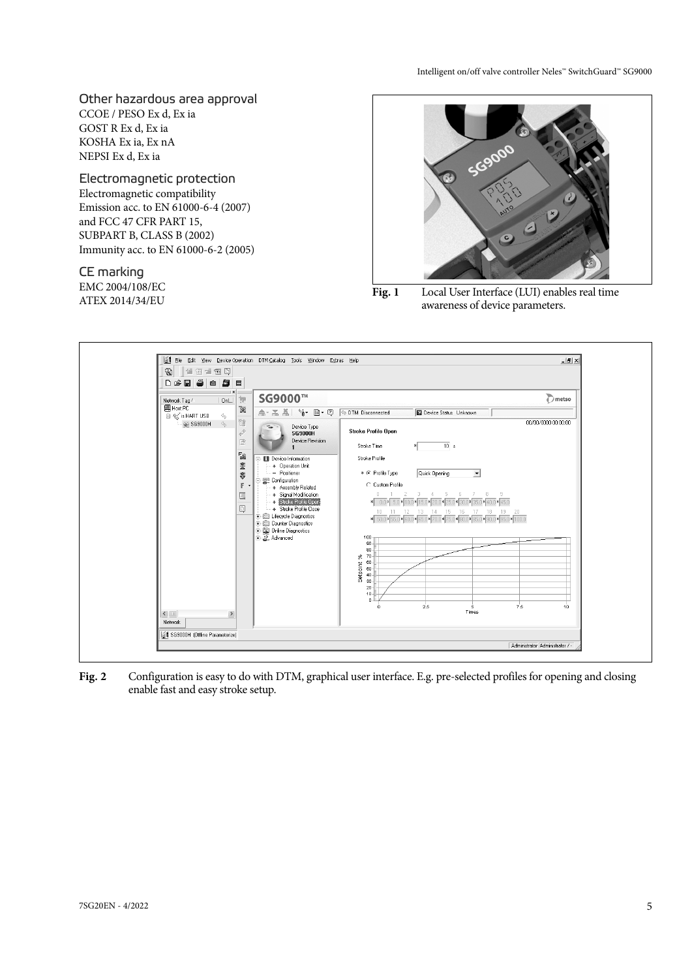Other hazardous area approval CCOE / PESO Ex d, Ex ia GOST R Ex d, Ex ia KOSHA Ex ia, Ex nA NEPSI Ex d, Ex ia

Electromagnetic protection Electromagnetic compatibility Emission acc. to EN 61000-6-4 (2007) and FCC 47 CFR PART 15, SUBPART B, CLASS B (2002) Immunity acc. to EN 61000-6-2 (2005)

CE marking EMC 2004/108/EC



EMC 2004/108/EC<br>
ATEX 2014/34/EU **Fig. 1** Local User Interface (LUI) enables real time awareness of device parameters.



**Fig. 2** Configuration is easy to do with DTM, graphical user interface. E.g. pre-selected profiles for opening and closing enable fast and easy stroke setup.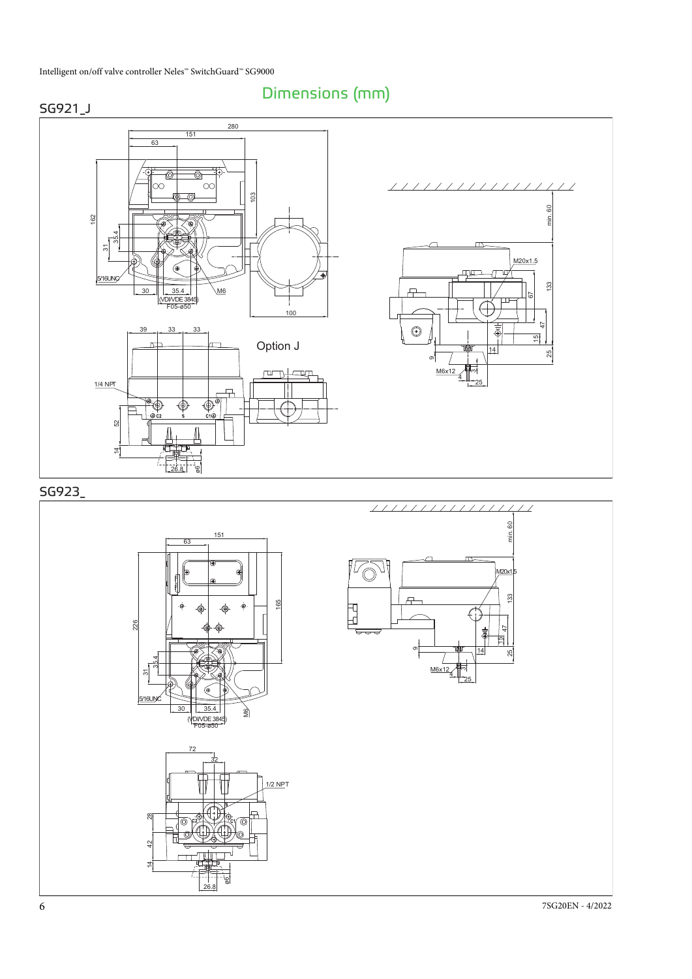





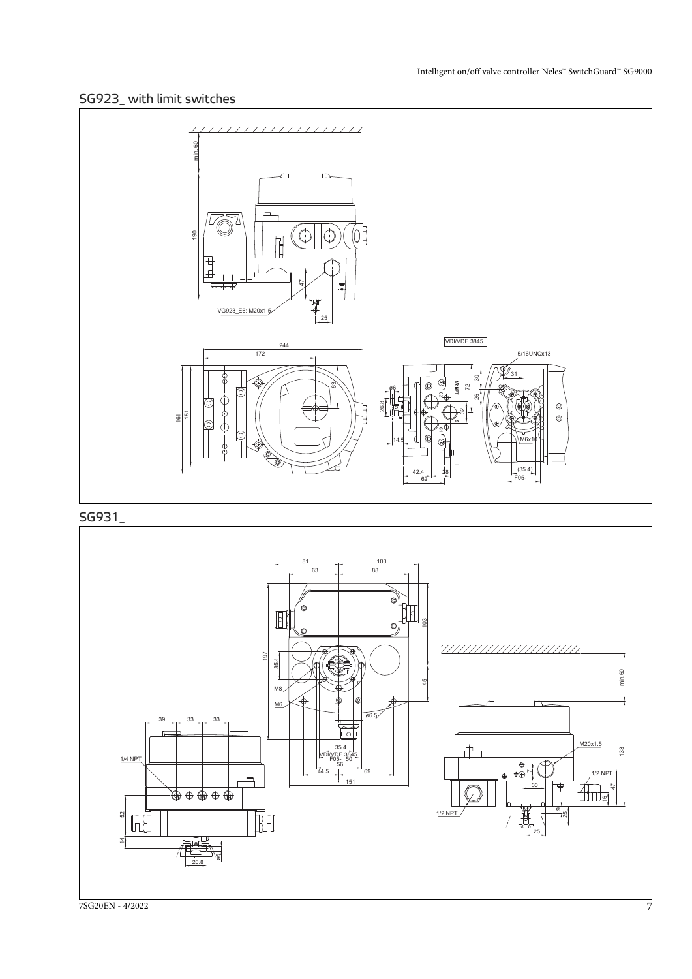## SG923\_ with limit switches



## SG931\_

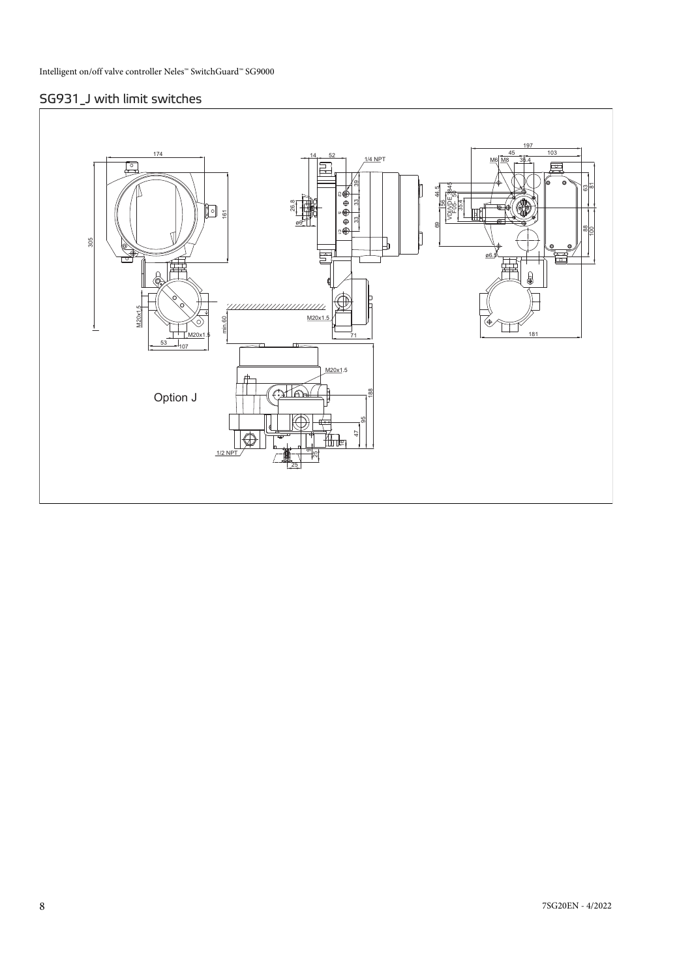## SG931\_J with limit switches

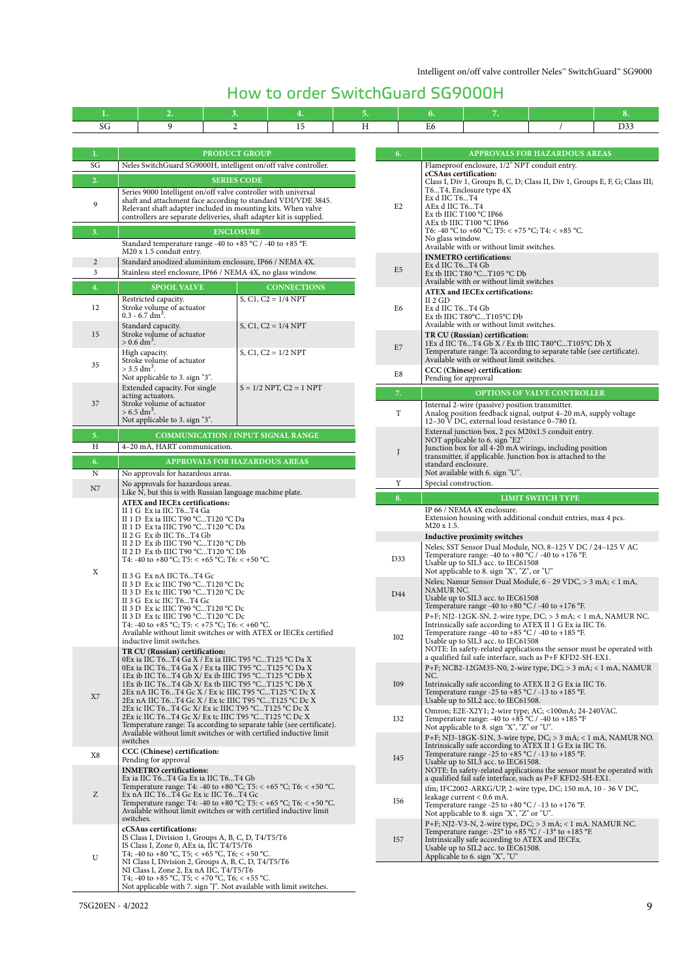# How to order SwitchGuard SG9000H

| 1.                               |                                                                                                                                 | 2.                                                                                                                    | 3.                            |  | 4.                                                                                                                                         |            | 5.             |                                      | 6.                                                                                                                                 | 7.                                                                                                                                                               |                                                                                                                                                          | 8.  |  |  |
|----------------------------------|---------------------------------------------------------------------------------------------------------------------------------|-----------------------------------------------------------------------------------------------------------------------|-------------------------------|--|--------------------------------------------------------------------------------------------------------------------------------------------|------------|----------------|--------------------------------------|------------------------------------------------------------------------------------------------------------------------------------|------------------------------------------------------------------------------------------------------------------------------------------------------------------|----------------------------------------------------------------------------------------------------------------------------------------------------------|-----|--|--|
| SG                               |                                                                                                                                 | 9                                                                                                                     | 2                             |  | 15                                                                                                                                         |            | Η              |                                      | E6                                                                                                                                 |                                                                                                                                                                  |                                                                                                                                                          | D33 |  |  |
|                                  |                                                                                                                                 |                                                                                                                       |                               |  |                                                                                                                                            |            |                |                                      |                                                                                                                                    |                                                                                                                                                                  |                                                                                                                                                          |     |  |  |
| 1.<br><b>PRODUCT GROUP</b><br>6. |                                                                                                                                 |                                                                                                                       |                               |  |                                                                                                                                            |            |                | <b>APPROVALS FOR HAZARDOUS AREAS</b> |                                                                                                                                    |                                                                                                                                                                  |                                                                                                                                                          |     |  |  |
| SG                               | Neles SwitchGuard SG9000H, intelligent on/off valve controller.                                                                 |                                                                                                                       |                               |  |                                                                                                                                            |            |                |                                      | Flameproof enclosure, 1/2" NPT conduit entry.                                                                                      |                                                                                                                                                                  |                                                                                                                                                          |     |  |  |
| 2.                               | <b>SERIES CODE</b>                                                                                                              |                                                                                                                       |                               |  |                                                                                                                                            |            |                |                                      | cCSAus certification:<br>Class I, Div 1, Groups B, C, D; Class II, Div 1, Groups E, F, G; Class III;                               |                                                                                                                                                                  |                                                                                                                                                          |     |  |  |
|                                  | Series 9000 Intelligent on/off valve controller with universal<br>shaft and attachment face according to standard VDI/VDE 3845. |                                                                                                                       |                               |  |                                                                                                                                            |            |                |                                      | Ex d IIC T6T4                                                                                                                      | T6T4, Enclosure type 4X                                                                                                                                          |                                                                                                                                                          |     |  |  |
| 9                                | Relevant shaft adapter included in mounting kits. When valve                                                                    |                                                                                                                       |                               |  |                                                                                                                                            |            | E <sub>2</sub> |                                      | AEx d IIC T6T4                                                                                                                     | Ex tb IIIC T100 °C IP66                                                                                                                                          |                                                                                                                                                          |     |  |  |
|                                  | controllers are separate deliveries, shaft adapter kit is supplied.                                                             |                                                                                                                       |                               |  |                                                                                                                                            |            |                | AEx tb IIIC T100 °C IP66             |                                                                                                                                    |                                                                                                                                                                  |                                                                                                                                                          |     |  |  |
| 3.                               |                                                                                                                                 | Standard temperature range -40 to +85 °C / -40 to +85 °F.                                                             | <b>ENCLOSURE</b>              |  |                                                                                                                                            |            |                |                                      | T6: -40 °C to +60 °C; T5: < +75 °C; T4: < +85 °C.<br>No glass window.                                                              |                                                                                                                                                                  |                                                                                                                                                          |     |  |  |
|                                  |                                                                                                                                 | M20 x 1.5 conduit entry.                                                                                              |                               |  |                                                                                                                                            |            |                |                                      | Available with or without limit switches.<br><b>INMETRO</b> certifications:                                                        |                                                                                                                                                                  |                                                                                                                                                          |     |  |  |
| 2<br>3                           |                                                                                                                                 | Standard anodized aluminium enclosure, IP66 / NEMA 4X.<br>Stainless steel enclosure, IP66 / NEMA 4X, no glass window. |                               |  |                                                                                                                                            |            | E <sub>5</sub> |                                      | Ex d IIC T6T4 Gb                                                                                                                   |                                                                                                                                                                  |                                                                                                                                                          |     |  |  |
| 4.                               |                                                                                                                                 | <b>SPOOL VALVE</b>                                                                                                    |                               |  |                                                                                                                                            |            |                |                                      | Ex tb IIIC T80 °CT105 °C Db<br>Available with or without limit switches                                                            |                                                                                                                                                                  |                                                                                                                                                          |     |  |  |
|                                  |                                                                                                                                 | Restricted capacity.                                                                                                  |                               |  | <b>CONNECTIONS</b><br>$S, C1, C2 = 1/4 NPT$                                                                                                |            |                |                                      | $II$ 2 GD                                                                                                                          | <b>ATEX and IECEx certifications:</b>                                                                                                                            |                                                                                                                                                          |     |  |  |
| 12                               |                                                                                                                                 | Stroke volume of actuator<br>$0.3 - 6.7$ dm <sup>3</sup> .                                                            |                               |  |                                                                                                                                            |            | E6             |                                      | Ex d IIC T6T4 Gb<br>Ex tb IIIC T80°CT105°C Db                                                                                      |                                                                                                                                                                  |                                                                                                                                                          |     |  |  |
|                                  |                                                                                                                                 | Standard capacity.                                                                                                    |                               |  | $S, C1, C2 = 1/4 NPT$                                                                                                                      |            |                |                                      |                                                                                                                                    | Available with or without limit switches.                                                                                                                        |                                                                                                                                                          |     |  |  |
| 15                               |                                                                                                                                 | Stroke volume of actuator<br>$> 0.6$ dm <sup>3</sup> .                                                                |                               |  |                                                                                                                                            |            |                |                                      |                                                                                                                                    | TR CU (Russian) certification:                                                                                                                                   | 1Ex d IIC T6T4 Gb X / Ex tb IIIC T80°CT105°C Db X                                                                                                        |     |  |  |
|                                  |                                                                                                                                 | High capacity.                                                                                                        |                               |  | $S, C1, C2 = 1/2 NPT$                                                                                                                      |            | E7             |                                      |                                                                                                                                    |                                                                                                                                                                  | Temperature range: Ta according to separate table (see certificate).                                                                                     |     |  |  |
| 35                               |                                                                                                                                 | Stroke volume of actuator<br>$>$ 3.5 dm <sup>3</sup> .                                                                |                               |  |                                                                                                                                            |            |                |                                      | Available with or without limit switches.<br>CCC (Chinese) certification:                                                          |                                                                                                                                                                  |                                                                                                                                                          |     |  |  |
|                                  |                                                                                                                                 | Not applicable to 3. sign "3".<br>Extended capacity. For single                                                       |                               |  | $S = 1/2$ NPT, $C2 = 1$ NPT                                                                                                                |            |                | E8                                   | Pending for approval                                                                                                               |                                                                                                                                                                  |                                                                                                                                                          |     |  |  |
| 37                               |                                                                                                                                 | acting actuators.                                                                                                     |                               |  |                                                                                                                                            |            |                | 7.                                   |                                                                                                                                    |                                                                                                                                                                  | OPTIONS OF VALVE CONTROLLER                                                                                                                              |     |  |  |
|                                  |                                                                                                                                 | Stroke volume of actuator<br>$> 6.5$ dm <sup>3</sup> .                                                                |                               |  |                                                                                                                                            |            |                | T                                    | Internal 2-wire (passive) position transmitter.<br>Analog position feedback signal, output 4-20 mA, supply voltage                 |                                                                                                                                                                  |                                                                                                                                                          |     |  |  |
|                                  |                                                                                                                                 | Not applicable to 3. sign "3".                                                                                        |                               |  |                                                                                                                                            |            |                |                                      |                                                                                                                                    | 12-30 V DC, external load resistance 0-780 $\Omega$ .                                                                                                            | External junction box, 2 pcs M20x1.5 conduit entry.                                                                                                      |     |  |  |
| 5.<br>H                          | COMMUNICATION / INPUT SIGNAL RANGE<br>4-20 mA, HART communication.                                                              |                                                                                                                       |                               |  |                                                                                                                                            |            |                |                                      |                                                                                                                                    | NOT applicable to 6. sign "E2"                                                                                                                                   |                                                                                                                                                          |     |  |  |
| 6.                               |                                                                                                                                 |                                                                                                                       | APPROVALS FOR HAZARDOUS AREAS |  |                                                                                                                                            |            | J              |                                      |                                                                                                                                    |                                                                                                                                                                  | Junction box for all 4-20 mA wirings, including position<br>transmitter, if applicable. Junction box is attached to the                                  |     |  |  |
| $\rm N$                          |                                                                                                                                 | No approvals for hazardous areas.                                                                                     |                               |  |                                                                                                                                            |            |                |                                      | standard enclosure.                                                                                                                | Not available with 6. sign "U".                                                                                                                                  |                                                                                                                                                          |     |  |  |
| N7                               | No approvals for hazardous areas.                                                                                               |                                                                                                                       |                               |  |                                                                                                                                            |            | Y              | Special construction.                |                                                                                                                                    |                                                                                                                                                                  |                                                                                                                                                          |     |  |  |
|                                  | Like N, but this is with Russian language machine plate.<br><b>ATEX and IECEx certifications:</b>                               |                                                                                                                       |                               |  |                                                                                                                                            |            |                | 8.                                   |                                                                                                                                    |                                                                                                                                                                  | <b>LIMIT SWITCH TYPE</b>                                                                                                                                 |     |  |  |
|                                  | II 1 G Ex ia IIC T6T4 Ga<br>II 1 D Ex ia IIIC T90 °CT120 °C Da<br>II 1 D Ex ta IIIC T90 °CT120 °C Da                            |                                                                                                                       |                               |  |                                                                                                                                            |            |                |                                      | IP 66 / NEMA 4X enclosure.                                                                                                         | Extension housing with additional conduit entries, max 4 pcs.                                                                                                    |                                                                                                                                                          |     |  |  |
|                                  |                                                                                                                                 |                                                                                                                       |                               |  |                                                                                                                                            |            |                | M20 x 1.5.                           |                                                                                                                                    |                                                                                                                                                                  |                                                                                                                                                          |     |  |  |
|                                  |                                                                                                                                 | II $2 G$ Ex ib IIC T6T4 Gb<br>II 2 D Ex ib IIIC T90 °CT120 °C Db                                                      |                               |  |                                                                                                                                            |            |                |                                      |                                                                                                                                    | Inductive proximity switches                                                                                                                                     | Neles; SST Sensor Dual Module, NO, 8-125 V DC / 24-125 V AC                                                                                              |     |  |  |
|                                  |                                                                                                                                 | II 2 D Ex tb IIIC T90 °CT120 °C Db<br>T4: -40 to +80 °C; T5: < +65 °C; T6: < +50 °C.                                  |                               |  |                                                                                                                                            |            |                | D33                                  |                                                                                                                                    | Temperature range: -40 to +80 $^{\circ}$ C / -40 to +176 $^{\circ}$ F.                                                                                           |                                                                                                                                                          |     |  |  |
| Χ                                |                                                                                                                                 | II 3 G Ex nA IIC T6T4 Gc                                                                                              |                               |  |                                                                                                                                            |            |                |                                      | Usable up to SIL3 acc. to IEC61508<br>Not applicable to 8. sign "X", "Z", or "U"                                                   |                                                                                                                                                                  |                                                                                                                                                          |     |  |  |
|                                  |                                                                                                                                 | II 3 D Ex ic IIIC T90 $°CT120$ $°C$ Dc                                                                                |                               |  |                                                                                                                                            |            |                |                                      | NAMUR NC.                                                                                                                          |                                                                                                                                                                  | Neles; Namur Sensor Dual Module, 6 - 29 VDC, > 3 mA; < 1 mA,                                                                                             |     |  |  |
|                                  |                                                                                                                                 | II 3 D Ex tc IIIC T90 °CT120 °C Dc<br>II 3 G Ex ic IIC T6T4 Gc                                                        |                               |  |                                                                                                                                            |            | D44            |                                      | Usable up to SIL3 acc. to IEC61508<br>Temperature range -40 to +80 $^{\circ}$ C / -40 to +176 $^{\circ}$ F.                        |                                                                                                                                                                  |                                                                                                                                                          |     |  |  |
|                                  |                                                                                                                                 | II 3 D Ex ic IIIC T90 $°CT120$ $°C$ Dc<br>II 3 D Ex tc IIIC T90 °CT120 °C Dc                                          |                               |  |                                                                                                                                            |            |                |                                      |                                                                                                                                    |                                                                                                                                                                  | $P+F$ ; NJ2-12GK-SN, 2-wire type, DC; $>$ 3 mA; < 1 mA, NAMUR NC.                                                                                        |     |  |  |
|                                  |                                                                                                                                 | T4: -40 to +85 °C; T5: < +75 °C; T6: < +60 °C.                                                                        |                               |  | Available without limit switches or with ATEX or IECEx certified                                                                           |            | I02            |                                      |                                                                                                                                    | Intrinsically safe according to ATEX II 1 G Ex ia IIC T6.                                                                                                        |                                                                                                                                                          |     |  |  |
|                                  |                                                                                                                                 | inductive limit switches.                                                                                             |                               |  |                                                                                                                                            |            |                |                                      |                                                                                                                                    | Temperature range -40 to +85 °C / -40 to +185 °F.<br>Usable up to SIL3 acc. to IEC61508<br>NOTE: In safety-related applications the sensor must be operated with |                                                                                                                                                          |     |  |  |
|                                  |                                                                                                                                 | TR CU (Russian) certification:<br>0Ex ia IIC T6T4 Ga X / Ex ia IIIC T95 °CT125 °C Da X                                |                               |  |                                                                                                                                            |            |                |                                      |                                                                                                                                    |                                                                                                                                                                  | a qualified fail safe interface, such as P+F KFD2-SH-EX1.                                                                                                |     |  |  |
|                                  |                                                                                                                                 | 0Ex ia IIC T6T4 Ga X / Ex ta IIIC T95 °CT125 °C Da X<br>1Ex ib IIC T6T4 Gb X/ Ex ib IIIC T95 °CT125 °C Db X           |                               |  |                                                                                                                                            |            |                |                                      | NC.                                                                                                                                |                                                                                                                                                                  | P+F; NCB2-12GM35-N0, 2-wire type, $DC$ ; > 3 mA; < 1 mA, NAMUR                                                                                           |     |  |  |
|                                  |                                                                                                                                 | 1Ex ib IIC T6T4 Gb X/ Ex tb IIIC T95 °CT125 °C Db X                                                                   |                               |  |                                                                                                                                            |            | I09            |                                      |                                                                                                                                    |                                                                                                                                                                  | Intrinsically safe according to ATEX II 2 G Ex ia IIC T6.                                                                                                |     |  |  |
| X7                               |                                                                                                                                 | 2Ex nA IIC T6T4 Gc X / Ex ic IIIC T95 °CT125 °C Dc X<br>2Ex nA IIC T6T4 Gc X / Ex tc IIIC T95 °CT125 °C Dc X          |                               |  |                                                                                                                                            |            |                |                                      |                                                                                                                                    | Temperature range -25 to +85 $^{\circ}$ C / -13 to +185 $^{\circ}$ F.<br>Usable up to SIL2 acc. to IEC61508.                                                     |                                                                                                                                                          |     |  |  |
|                                  |                                                                                                                                 | 2Ex ic IIC T6T4 Gc X/ Ex ic IIIC T95 °CT125 °C Dc X<br>2Ex ic IIC T6T4 Gc X/ Ex tc IIIC T95 °CT125 °C Dc X            |                               |  |                                                                                                                                            | <b>I32</b> |                |                                      | Temperature range: -40 to +85 °C / -40 to +185 °F                                                                                  | Omron; E2E-X2Y1; 2-wire type; AC; <100mA; 24-240VAC.                                                                                                             |                                                                                                                                                          |     |  |  |
|                                  |                                                                                                                                 |                                                                                                                       |                               |  | Temperature range: Ta according to separate table (see certificate).<br>Available without limit switches or with certified inductive limit |            |                |                                      |                                                                                                                                    | Not applicable to 8. sign "X", "Z" or "U".                                                                                                                       |                                                                                                                                                          |     |  |  |
|                                  | switches                                                                                                                        |                                                                                                                       |                               |  |                                                                                                                                            |            |                |                                      |                                                                                                                                    |                                                                                                                                                                  | P+F; NJ3-18GK-S1N, 3-wire type, DC; > 3 mA; < 1 mA, NAMUR NO.<br>Intrinsically safe according to ATEX II 1 G Ex ia IIC T6.                               |     |  |  |
| X8                               |                                                                                                                                 | CCC (Chinese) certification:<br>Pending for approval                                                                  |                               |  |                                                                                                                                            |            | <b>I45</b>     |                                      |                                                                                                                                    | Temperature range -25 to +85 $^{\circ}$ C / -13 to +185 $^{\circ}$ F.<br>Usable up to SIL3 acc. to IEC61508.                                                     |                                                                                                                                                          |     |  |  |
|                                  |                                                                                                                                 | <b>INMETRO</b> certifications:<br>Ex ia IIC T6T4 Ga Ex ia IIC T6T4 Gb                                                 |                               |  |                                                                                                                                            |            |                |                                      | NOTE: In safety-related applications the sensor must be operated with<br>a qualified fail safe interface, such as P+F KFD2-SH-EX1. |                                                                                                                                                                  |                                                                                                                                                          |     |  |  |
|                                  |                                                                                                                                 |                                                                                                                       |                               |  | Temperature range: T4: -40 to +80 °C; T5: < +65 °C; T6: < +50 °C.                                                                          |            |                |                                      |                                                                                                                                    |                                                                                                                                                                  | ifm; IFC2002-ARKG/UP, 2-wire type, DC; 150 mA, 10 - 36 V DC,                                                                                             |     |  |  |
| Ζ                                |                                                                                                                                 | Ex nA IIC T6T4 Gc Ex ic IIC T6T4 Gc                                                                                   |                               |  | Temperature range: T4: -40 to +80 °C; T5: < +65 °C; T6: < +50 °C.                                                                          |            |                | I56                                  | leakage current $< 0.6$ mA.<br>Temperature range -25 to +80 °C / -13 to +176 °F.                                                   |                                                                                                                                                                  |                                                                                                                                                          |     |  |  |
|                                  | switches.                                                                                                                       |                                                                                                                       |                               |  | Available without limit switches or with certified inductive limit                                                                         |            |                |                                      |                                                                                                                                    | Not applicable to 8. sign "X", "Z" or "U".                                                                                                                       |                                                                                                                                                          |     |  |  |
|                                  |                                                                                                                                 | cCSAus certifications:<br>IS Class I, Division 1, Groups A, B, C, D, T4/T5/T6                                         |                               |  |                                                                                                                                            |            |                |                                      |                                                                                                                                    |                                                                                                                                                                  | P+F; NJ2-V3-N, 2-wire type, $DC$ ; > 3 mA; < 1 mA. NAMUR NC.<br>Temperature range: $-25^{\circ}$ to $+85^{\circ}$ C / $-13^{\circ}$ to $+185^{\circ}$ F. |     |  |  |
|                                  |                                                                                                                                 | IS Class I, Zone 0, AEx ia, IIC T4/T5/T6                                                                              |                               |  |                                                                                                                                            |            | I57            |                                      |                                                                                                                                    | Intrinsically safe according to ATEX and IECEx.<br>Usable up to SIL2 acc. to IEC61508.                                                                           |                                                                                                                                                          |     |  |  |
| U                                | T4; -40 to +80 °C, T5; < +65 °C, T6; < +50 °C.<br>NI Class I, Division 2, Groups A, B, C, D, T4/T5/T6                           |                                                                                                                       |                               |  |                                                                                                                                            |            |                |                                      |                                                                                                                                    | Applicable to 6. sign "X", "U"                                                                                                                                   |                                                                                                                                                          |     |  |  |
|                                  |                                                                                                                                 | NI Class I, Zone 2, Ex nA IIC, T4/T5/T6<br>T4; -40 to +85 °C, T5; < +70 °C, T6; < +55 °C.                             |                               |  |                                                                                                                                            |            |                |                                      |                                                                                                                                    |                                                                                                                                                                  |                                                                                                                                                          |     |  |  |
|                                  | Not applicable with 7. sign "J". Not available with limit switches.                                                             |                                                                                                                       |                               |  |                                                                                                                                            |            |                |                                      |                                                                                                                                    |                                                                                                                                                                  |                                                                                                                                                          |     |  |  |